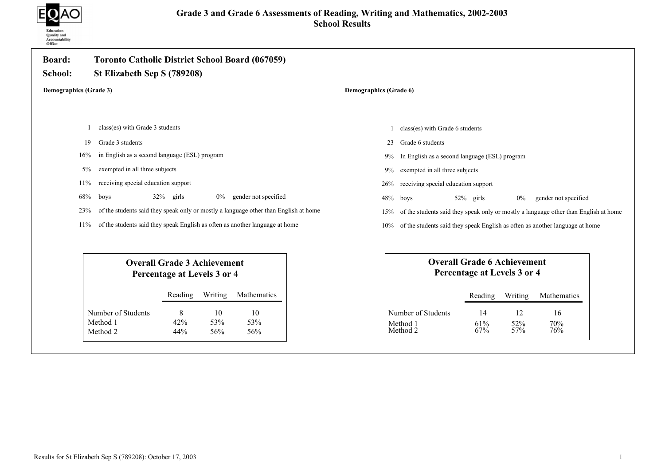

| <b>Board:</b><br>School:      | <b>Toronto Catholic District School Board (067059)</b><br>St Elizabeth Sep S (789208)                 |                                                                                                        |  |
|-------------------------------|-------------------------------------------------------------------------------------------------------|--------------------------------------------------------------------------------------------------------|--|
| <b>Demographics (Grade 3)</b> |                                                                                                       | Demographics (Grade 6)                                                                                 |  |
|                               |                                                                                                       |                                                                                                        |  |
|                               | class(es) with Grade 3 students                                                                       | class(es) with Grade 6 students                                                                        |  |
| 19                            | Grade 3 students                                                                                      | Grade 6 students<br>23                                                                                 |  |
| 16%                           | in English as a second language (ESL) program                                                         | In English as a second language (ESL) program<br>9%                                                    |  |
| 5%                            | exempted in all three subjects                                                                        | exempted in all three subjects<br>9%                                                                   |  |
| 11%                           | receiving special education support                                                                   | receiving special education support<br>26%                                                             |  |
| 68%                           | $32\%$ girls<br>gender not specified<br>boys<br>$0\%$                                                 | 48%<br>52% girls<br>$0\%$<br>gender not specified<br>boys                                              |  |
| 23%                           | of the students said they speak only or mostly a language other than English at home                  | of the students said they speak only or mostly a language other than English at home<br>15%            |  |
| 11%                           | of the students said they speak English as often as another language at home                          | of the students said they speak English as often as another language at home<br>10%                    |  |
|                               | <b>Overall Grade 3 Achievement</b><br>Percentage at Levels 3 or 4                                     | <b>Overall Grade 6 Achievement</b><br>Percentage at Levels 3 or 4                                      |  |
|                               | Writing<br>Mathematics<br>Reading                                                                     | Writing<br>Reading<br>Mathematics                                                                      |  |
|                               | Number of Students<br>8<br>10<br>10<br>Method 1<br>42%<br>53%<br>53%<br>Method 2<br>44%<br>56%<br>56% | Number of Students<br>12<br>16<br>14<br>Method 1<br>61%<br>52%<br>70%<br>57%<br>76%<br>Method 2<br>67% |  |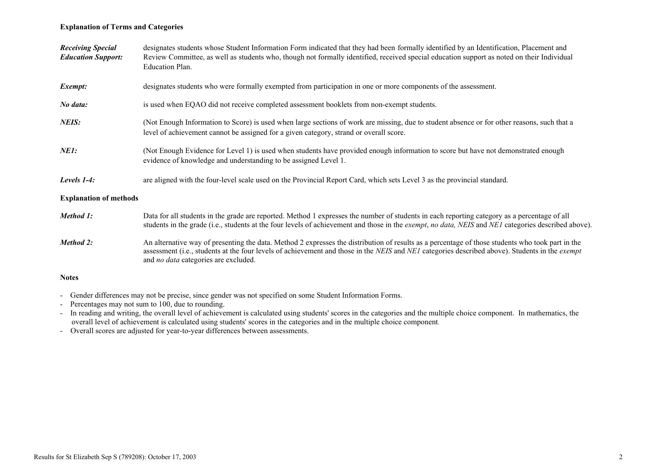#### Explanation of Terms and Categories

| <b>Receiving Special</b><br><b>Education Support:</b> | designates students whose Student Information Form indicated that they had been formally identified by an Identification, Placement and<br>Review Committee, as well as students who, though not formally identified, received special education support as noted on their Individual<br>Education Plan.                                          |
|-------------------------------------------------------|---------------------------------------------------------------------------------------------------------------------------------------------------------------------------------------------------------------------------------------------------------------------------------------------------------------------------------------------------|
| Exempt:                                               | designates students who were formally exempted from participation in one or more components of the assessment.                                                                                                                                                                                                                                    |
| No data:                                              | is used when EQAO did not receive completed assessment booklets from non-exempt students.                                                                                                                                                                                                                                                         |
| NEIS:                                                 | (Not Enough Information to Score) is used when large sections of work are missing, due to student absence or for other reasons, such that a<br>level of achievement cannot be assigned for a given category, strand or overall score.                                                                                                             |
| <i>NE1:</i>                                           | (Not Enough Evidence for Level 1) is used when students have provided enough information to score but have not demonstrated enough<br>evidence of knowledge and understanding to be assigned Level 1.                                                                                                                                             |
| Levels $1-4$ :                                        | are aligned with the four-level scale used on the Provincial Report Card, which sets Level 3 as the provincial standard.                                                                                                                                                                                                                          |
| <b>Explanation of methods</b>                         |                                                                                                                                                                                                                                                                                                                                                   |
| Method 1:                                             | Data for all students in the grade are reported. Method 1 expresses the number of students in each reporting category as a percentage of all<br>students in the grade (i.e., students at the four levels of achievement and those in the <i>exempt, no data, NEIS</i> and <i>NE1</i> categories described above).                                 |
| Method 2:                                             | An alternative way of presenting the data. Method 2 expresses the distribution of results as a percentage of those students who took part in the<br>assessment (i.e., students at the four levels of achievement and those in the NEIS and NEI categories described above). Students in the exempt<br>and <i>no data</i> categories are excluded. |
| <b>Notes</b>                                          |                                                                                                                                                                                                                                                                                                                                                   |

- Gender differences may not be precise, since gender was not specified on some Student Information Forms.
- Percentages may not sum to 100, due to rounding.
- In reading and writing, the overall level of achievement is calculated using students' scores in the categories and the multiple choice component. In mathematics, the overall level of achievement is calculated using students' scores in the categories and in the multiple choice component.
- Overall scores are adjusted for year-to-year differences between assessments.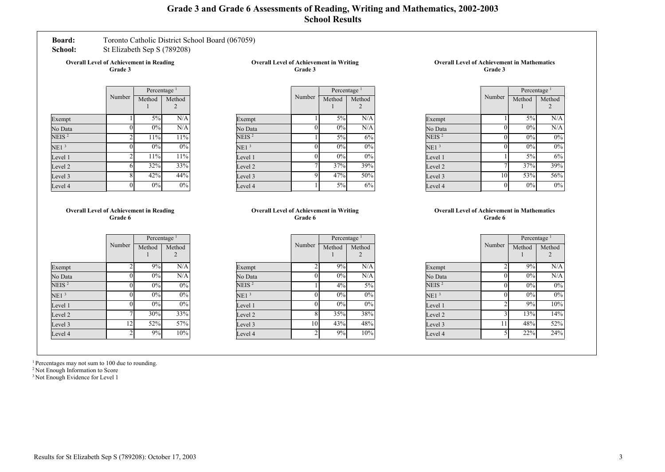### Grade 3 and Grade 6 Assessments of Reading, Writing and Mathematics, 2002-2003 School Results

#### Board: Toronto Catholic District School Board (067059)

School: St Elizabeth Sep S (789208)

Overall Level of Achievement in Reading Grade 3

| <b>Overall Level of Achievement in Writing</b> |  |
|------------------------------------------------|--|
| Grade 3                                        |  |

|                   |                | Percentage <sup>1</sup> |             |
|-------------------|----------------|-------------------------|-------------|
|                   | Number         | Method                  | Method<br>2 |
| Exempt            |                | 5%                      | N/A         |
| No Data           | 0              | 0%                      | N/A         |
| NEIS <sup>2</sup> | $\mathfrak{D}$ | 11%                     | 11%         |
| NE1 <sup>3</sup>  | 0              | 0%                      | $0\%$       |
| Level 1           | $\mathfrak{D}$ | 11%                     | 11%         |
| Level 2           | 6              | 32%                     | 33%         |
| Level 3           | 8              | 42%                     | 44%         |
| Level 4           | 0              | 0%                      | 0%          |

|                  |        | Percentage <sup>1</sup> |             |
|------------------|--------|-------------------------|-------------|
|                  | Number | Method                  | Method<br>2 |
| Exempt           |        | $\frac{5\%}{ }$         | N/A         |
| No Data          | 0      | 0%                      | N/A         |
| NEIS $^2$        |        | 5%                      | 6%          |
| NE1 <sup>3</sup> | 0      | 0%                      | 0%          |
| Level 1          | 0      | 0%                      | 0%          |
| Level 2          |        | 37%                     | 39%         |
| Level 3          | 9      | 47%                     | 50%         |
| Level 4          |        | 5%                      | 6%          |

#### Overall Level of Achievement in Mathematics Grade 3

|                   |        | Percentage <sup>1</sup> |        |
|-------------------|--------|-------------------------|--------|
|                   | Number | Method                  | Method |
| Exempt            |        | 5%                      | N/A    |
| No Data           | 0      | $0\%$                   | N/A    |
| NEIS <sup>2</sup> | 0      | 0%                      | 0%     |
| NE1 <sup>3</sup>  | 0      | 0%                      | 0%     |
| Level 1           |        | 5%                      | 6%     |
| Level 2           |        | 37%                     | 39%    |
| Level 3           | 10     | 53%                     | 56%    |
| Level 4           | 0      | 0%                      | 0%     |

#### Overall Level of Achievement in Reading Grade 6

|                   |                | Percentage |        |
|-------------------|----------------|------------|--------|
|                   | Number         | Method     | Method |
| Exempt            | $\mathfrak{D}$ | 9%         | N/A    |
| No Data           | 0              | 0%         | N/A    |
| NEIS <sup>2</sup> |                | 0%         | 0%     |
| NE1 <sup>3</sup>  | 0              | 0%         | 0%     |
| Level 1           | 0              | 0%         | 0%     |
| Level 2           |                | 30%        | 33%    |
| Level 3           | 12             | 52%        | 57%    |
| Level 4           | 2              | 9%         | 10%    |

#### Overall Level of Achievement in Writing Grade 6

|                  |                | Percentage <sup>1</sup> |        |
|------------------|----------------|-------------------------|--------|
|                  | Number         | Method                  | Method |
|                  |                |                         |        |
| Exempt           | 2              | 9%                      | N/A    |
| No Data          | 0              | 0%                      | N/A    |
| NEIS $^2$        |                | 4%                      | 5%     |
| NE1 <sup>3</sup> | 0              | 0%                      | 0%     |
| Level 1          | 0              | 0%                      | $0\%$  |
| Level 2          | 8              | 35%                     | 38%    |
| Level 3          | 10             | 43%                     | 48%    |
| Level 4          | $\overline{c}$ | 9%                      | 10%    |

#### Overall Level of Achievement in Mathematics Grade 6

| Number                   | Percentage     |          |
|--------------------------|----------------|----------|
|                          | Method         | Method   |
|                          |                |          |
|                          |                | N/A      |
| 0                        |                | N/A      |
| 0                        | 0%             | 0%       |
| 0                        | 0%             | 0%       |
| $\mathfrak{D}$           | 9%             | 10%      |
| 3                        | 13%            | 14%      |
| 11                       | 48%            | 52%      |
| $\overline{\phantom{0}}$ | 22%            | 24%      |
|                          | $\mathfrak{D}$ | 9%<br>0% |

<sup>1</sup> Percentages may not sum to 100 due to rounding.

<sup>2</sup> Not Enough Information to Score

<sup>3</sup> Not Enough Evidence for Level 1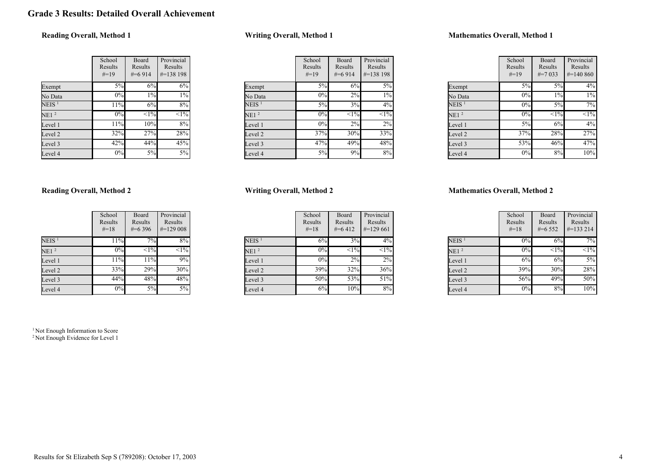### Grade 3 Results: Detailed Overall Achievement

### Reading Overall, Method 1

|                   | School<br>Results<br>$#=19$ | Board<br>Results<br>$#=6914$ | Provincial<br>Results<br>$\#=138$ 198 |
|-------------------|-----------------------------|------------------------------|---------------------------------------|
| Exempt            | 5%                          | 6%                           | 6%                                    |
| No Data           | 0%                          | 1%                           | $1\%$                                 |
| NEIS <sup>1</sup> | 11%                         | 6%                           | 8%                                    |
| NE1 <sup>2</sup>  | 0%                          | $<1\%$                       | $<1\%$                                |
| Level 1           | 11%                         | 10%                          | 8%                                    |
| Level 2           | 32%                         | 27%                          | 28%                                   |
| Level 3           | 42%                         | 44%                          | 45%                                   |
| Level 4           | 0%                          | 5%                           | 5%                                    |

#### Writing Overall, Method 1

|                   | School<br>Results<br>$#=19$ | Board<br>Results<br>$#=6914$ | Provincial<br>Results<br>$\#=138198$ |
|-------------------|-----------------------------|------------------------------|--------------------------------------|
| Exempt            | 5%                          | 6%                           | $5\%$                                |
| No Data           | $0\%$                       | $2\%$                        | $1\%$                                |
| NEIS <sup>1</sup> | 5%                          | 3%                           | 4%                                   |
| NE1 <sup>2</sup>  | $0\%$                       | $<1\frac{9}{6}$              | $\overline{<}1\%$                    |
| Level 1           | $0\%$                       | 2%                           | 2%                                   |
| Level 2           | 37%                         | 30%                          | 33%                                  |
| Level 3           | 47%                         | 49%                          | 48%                                  |
| Level 4           | 5%                          | 9%                           | 8%                                   |

#### Mathematics Overall, Method 1

|                  | School<br>Results<br>$#=19$ | Board<br>Results<br>$\#=7.033$ | Provincial<br>Results<br>$\#=140\,860$ |
|------------------|-----------------------------|--------------------------------|----------------------------------------|
| Exempt           | 5%                          | 5%                             | 4%                                     |
| No Data          | 0%                          | 1%                             | $1\%$                                  |
| $NEIS$ $^1$      | 0%                          | 5%                             | 7%                                     |
| NE1 <sup>2</sup> | 0%                          | <1%                            | $<1\%$                                 |
| Level 1          | $5\%$                       | 6%                             | 4%                                     |
| Level 2          | 37%                         | 28%                            | 27%                                    |
| Level 3          | 53%                         | 46%                            | 47%                                    |
| Level 4          | 0%                          | 8%                             | 10%                                    |

#### Reading Overall, Method 2

|                   | School<br>Results<br>$#=18$ | Board<br>Results<br>$\#=6396$ | Provincial<br>Results<br>$\#=129008$ |
|-------------------|-----------------------------|-------------------------------|--------------------------------------|
| NEIS <sup>1</sup> | 11%                         | 7%                            | 8%                                   |
| NE1 <sup>2</sup>  | 0%                          | $\overline{<}1\%$             | $\sqrt{1\%}$                         |
| Level 1           | 11%                         | 11%                           | 9%                                   |
| Level 2           | 33%                         | $29\%$                        | 30%                                  |
| Level 3           | 44%                         | 48%                           | 48%                                  |
| Level 4           | 0%                          | 5%                            | 5%                                   |

<sup>1</sup> Not Enough Information to Score <sup>2</sup> Not Enough Evidence for Level 1

#### Writing Overall, Method 2

|                   | School<br>Results<br>$#=18$ | Board<br>Results<br>$#=6412$ | Provincial<br>Results<br>$\#=129\,661$ |
|-------------------|-----------------------------|------------------------------|----------------------------------------|
| NEIS <sup>1</sup> | 6%                          | 3%                           | $4\%$                                  |
| NE1 <sup>2</sup>  | 0%                          | $\overline{<}1\%$            | $<1\%$                                 |
| Level 1           | 0%                          | 2%                           | $2\%$                                  |
| Level 2           | 39%                         | 32%                          | 36%                                    |
| Level 3           | 50%                         | 53%                          | 51%                                    |
| Level 4           | 6%                          | 10%                          | 8%                                     |

|                  | School<br>Results<br>$#=18$ | Board<br>Results<br>$#=6552$ | Provincial<br>Results<br>$#=133214$ |
|------------------|-----------------------------|------------------------------|-------------------------------------|
| $NEIS$ $^1$      | $0\%$                       | 6%                           | 7%                                  |
| NE1 <sup>2</sup> | 0%                          | $\leq$ 1%                    | $\overline{<}1\%$                   |
| Level 1          | 6%                          | 6%                           | $5\%$                               |
| Level 2          | 39%                         | 30%                          | 28%                                 |
| Level 3          | 56%                         | 49%                          | 50%                                 |
| Level 4          | 0%                          | 8%                           | 10%                                 |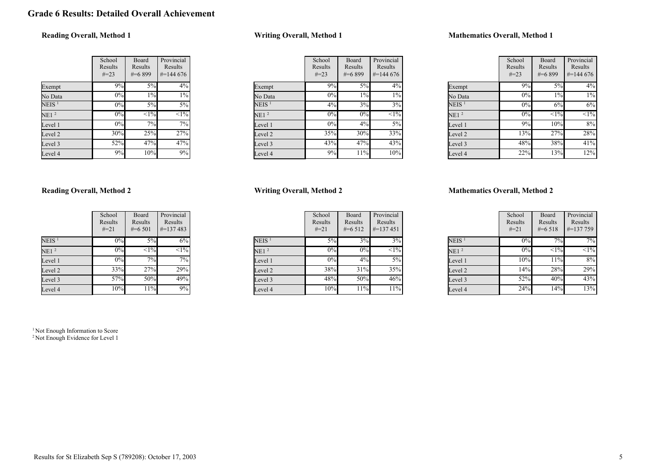### Grade 6 Results: Detailed Overall Achievement

### Reading Overall, Method 1

|                  | School<br>Results<br>$\# = 23$ | Board<br>Results<br>$#=6899$ | Provincial<br>Results<br>$\#$ =144 676 |
|------------------|--------------------------------|------------------------------|----------------------------------------|
| Exempt           | 9%                             | 5%                           | 4%                                     |
| No Data          | 0%                             | $1\%$                        | $1\%$                                  |
| $\rm NEIS$ $^1$  | 0%                             | 5%                           | 5%                                     |
| NE1 <sup>2</sup> | 0%                             | $\overline{<}1\%$            | $\overline{<}1\%$                      |
| Level 1          | 0%                             | 7%                           | 7%                                     |
| Level 2          | 30%                            | 25%                          | 27%                                    |
| Level 3          | 52%                            | 47%                          | 47%                                    |
| Level 4          | 9%                             | 10%                          | 9%                                     |

#### Writing Overall, Method 1

|                   | School<br>Results<br>$\# = 23$ | Board<br>Results<br>$#=6899$ | Provincial<br>Results<br>$\#=144\,676$ |
|-------------------|--------------------------------|------------------------------|----------------------------------------|
| Exempt            | 9%                             | 5%                           | $4\%$                                  |
| No Data           | 0%                             | $1\%$                        | $1\%$                                  |
| NEIS <sup>1</sup> | 4%                             | 3%                           | 3%                                     |
| NE1 <sup>2</sup>  | 0%                             | 0%                           | $\overline{<}1\%$                      |
| Level 1           | 0%                             | 4%                           | 5%                                     |
| Level 2           | 35%                            | 30%                          | $33\sqrt{6}$                           |
| Level 3           | 43%                            | 47%                          | 43%                                    |
| Level 4           | 9%                             | 11%                          | 10%                                    |

#### Mathematics Overall, Method 1

|                  | School<br>Results<br>$#=23$ | Board<br>Results<br>$#=6899$ | Provincial<br>Results<br>$\#=144\,676$ |
|------------------|-----------------------------|------------------------------|----------------------------------------|
| Exempt           | 9%                          | 5%                           | 4%                                     |
| No Data          | $0\%$                       | $1\%$                        | $1\%$                                  |
| $\rm NEIS$ $^1$  | 0%                          | 6%                           | 6%                                     |
| NE1 <sup>2</sup> | $0\%$                       | <1%                          | $<1\%$                                 |
| Level 1          | 9%                          | 10%                          | 8%                                     |
| Level 2          | 13%                         | 27%                          | 28%                                    |
| Level 3          | 48%                         | 38%                          | 41%                                    |
| Level 4          | 22%                         | 13%                          | 12%                                    |

#### Reading Overall, Method 2

|                   | School<br>Results<br>$#=21$ | Board<br>Results<br>$\#=6501$ | Provincial<br>Results<br>$\# = 137483$ |
|-------------------|-----------------------------|-------------------------------|----------------------------------------|
| NEIS <sup>1</sup> | $0\%$                       | 5%                            | 6%                                     |
| NE1 <sup>2</sup>  | 0%                          | $\overline{<}1\%$             | $\overline{<}1\%$                      |
| Level 1           | 0%                          | 7%                            | 7%                                     |
| Level 2           | 33%                         | 27%                           | 29%                                    |
| Level 3           | 57%                         | 50%                           | 49%                                    |
| Level 4           | 10%                         | 11%                           | 9%                                     |

<sup>1</sup> Not Enough Information to Score <sup>2</sup> Not Enough Evidence for Level 1

#### Writing Overall, Method 2

|                   | School<br>Results<br>$#=21$ | Board<br>Results<br>$#=6512$ | Provincial<br>Results<br>$\#=137451$ |
|-------------------|-----------------------------|------------------------------|--------------------------------------|
| NEIS <sup>1</sup> | 5%                          | 3%                           | 3%                                   |
| NE1 <sup>2</sup>  | 0%                          | 0%                           | $\leq$ 1%                            |
| Level 1           | 0%                          | 4%                           | $5\%$                                |
| Level 2           | 38%                         | 31%                          | 35%                                  |
| Level 3           | 48%                         | 50%                          | 46%                                  |
| Level 4           | 10%                         | 11%                          | 11%                                  |

|                   | School<br>Results<br>$#=21$ | Board<br>Results<br>$#=6518$ | Provincial<br>Results<br>$\# = 137759$ |
|-------------------|-----------------------------|------------------------------|----------------------------------------|
| NEIS <sup>1</sup> | $0\%$                       | 7%                           | 7%                                     |
| NE1 <sup>2</sup>  | $0\%$                       | $\overline{<}1\%$            | $\sqrt{1\%}$                           |
| Level 1           | 10%                         | 11%                          | 8%                                     |
| Level 2           | 14%                         | 28%                          | 29%                                    |
| Level 3           | 52%                         | 40%                          | 43%                                    |
| Level 4           | 24%                         | 14%                          | 13%                                    |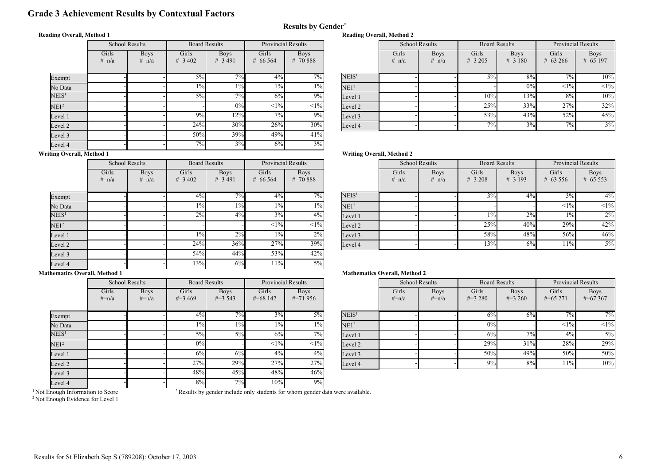### Grade 3 Achievement Results by Contextual Factors

#### Reading Overall, Method 1

|                                  | <b>School Results</b> |                        | <b>Board Results</b> |                           | <b>Provincial Results</b> |                              |
|----------------------------------|-----------------------|------------------------|----------------------|---------------------------|---------------------------|------------------------------|
|                                  | Girls<br>$#=n/a$      | <b>Boys</b><br>$#=n/a$ | Girls<br>$\#=3,402$  | <b>Boys</b><br>$\#=3,491$ | Girls<br>$\#$ =66 564     | <b>Boys</b><br>$\# = 70.888$ |
| Exempt                           |                       |                        | 5%                   | 7%                        | $4\%$                     | 7%                           |
| No Data                          |                       |                        | $1\%$                | $1\%$                     | $1\%$                     | $1\%$                        |
| NEIS <sup>1</sup>                |                       |                        | $5\%$                | 7%                        | 6%                        | 9%                           |
| NE1 <sup>2</sup>                 |                       |                        |                      | 0%                        | <1%                       | $<1\%$                       |
| Level 1                          |                       |                        | 9%                   | 12%                       | 7%                        | 9%                           |
| Level 2                          |                       |                        | 24%                  | 30%                       | 26%                       | 30%                          |
| Level 3                          |                       |                        | 50%                  | 39%                       | 49%                       | 41%                          |
| Level 4                          |                       |                        | 7%                   | 3%                        | 6%                        | 3%                           |
| <b>Writing Overall, Method 1</b> |                       |                        |                      |                           |                           |                              |

| <b>Provincial Results</b> |                              |                   |                  | <b>School Results</b>  | <b>Board Results</b> |                           | <b>Provincial Results</b> |                            |
|---------------------------|------------------------------|-------------------|------------------|------------------------|----------------------|---------------------------|---------------------------|----------------------------|
| irls<br>6 5 6 4           | <b>Boys</b><br>$\# = 70.888$ |                   | Girls<br>$#=n/a$ | <b>Boys</b><br>$#=n/a$ | Girls<br>$\#=3205$   | <b>Boys</b><br>$\#=3$ 180 | Girls<br>$\#=63\,266$     | <b>Boys</b><br>$\#=65$ 197 |
|                           |                              |                   |                  |                        |                      |                           |                           |                            |
| $4\%$                     | $7\%$                        | NEIS <sup>1</sup> |                  |                        | $5\%$                | $8\%$                     | $7\%$                     | 10%                        |
| $1\%$                     | $1\%$                        | NE1 <sup>2</sup>  |                  |                        |                      | 0%                        | <1%                       | <1%                        |
| 6%                        | 9%                           | Level 1           |                  |                        | 10%                  | 13%                       | 8%                        | 10%                        |
| $<1\%$                    | $<1\%$                       | Level 2           |                  |                        | 25%                  | 33%                       | 27%                       | 32%                        |
| 7%                        | 9%                           | Level 3           |                  |                        | 53%                  | 43%                       | 52%                       | 45%                        |
| 26%                       | 30%                          | Level 4           |                  |                        | 7%                   | 3%                        | $7\%$                     | 3%                         |

|                   | <b>School Results</b> |                           | <b>Board Results</b> |                           | <b>Provincial Results</b> |                             |
|-------------------|-----------------------|---------------------------|----------------------|---------------------------|---------------------------|-----------------------------|
|                   | Girls<br>$\# = n/a$   | <b>Boys</b><br>$\# = n/a$ | Girls<br>$\#=3,402$  | <b>Boys</b><br>$\#=3,491$ | Girls<br>$\#$ =66 564     | <b>Boys</b><br>$\# = 70888$ |
| Exempt            |                       |                           | 4%                   | 7%                        | 4%                        | $7\%$                       |
| No Data           |                       |                           | $1\%$                | $1\%$                     | $1\%$                     | $1\%$                       |
| NEIS <sup>1</sup> |                       |                           | 2%                   | 4%                        | 3%                        | 4%                          |
| NE1 <sup>2</sup>  |                       |                           |                      |                           | <1%                       | $<1\%$                      |
| Level 1           |                       |                           | $1\%$                | 2%                        | $1\%$                     | $2\%$                       |
| Level 2           |                       |                           | 24%                  | 36%                       | 27%                       | 39%                         |
| Level 3           |                       |                           | 54%                  | 44%                       | 53%                       | 42%                         |
| Level 4           |                       |                           | 13%                  | 6%                        | 11%                       | $5\%$                       |

### Writing Overall, Method 2

Reading Overall, Method 2

Results by Gender\*

| <b>Provincial Results</b> |                              |                   |                  | <b>School Results</b>     | <b>Board Results</b> |                           | <b>Provincial Results</b> |                           |
|---------------------------|------------------------------|-------------------|------------------|---------------------------|----------------------|---------------------------|---------------------------|---------------------------|
| iirls<br>6 5 6 4          | <b>Boys</b><br>$\# = 70.888$ |                   | Girls<br>$#=n/a$ | <b>Boys</b><br>$\# = n/a$ | Girls<br>$\#=3208$   | <b>Boys</b><br>$\#=3$ 193 | Girls<br>$\#=63\,556$     | <b>Boys</b><br>$\#=65553$ |
| $4\%$                     | $7\overline{\%}$             | NEIS <sup>1</sup> |                  |                           | 3%                   | 4%                        | 3%                        | $4\%$                     |
| $1\%$                     | $1\%$                        | NE1 <sup>2</sup>  |                  |                           |                      |                           | <1%                       | $<1\%$                    |
| 3%                        | 4%                           | Level 1           |                  |                           | $1\%$                | 2%                        | $1\%$                     | 2%                        |
| <1%                       | $<1\%$                       | Level 2           |                  |                           | 25%                  | 40%                       | 29%                       | 42%                       |
| $1\%$                     | 2%                           | Level 3           |                  |                           | 58%                  | 48%                       | 56%                       | 46%                       |
| 27%                       | 39%                          | Level 4           |                  |                           | 13%                  | 6%                        | 11%                       | 5%                        |

#### Mathematics Overall, Method 1

|                   | <b>School Results</b> |                        | <b>Board Results</b> |                           | <b>Provincial Results</b> |                           |
|-------------------|-----------------------|------------------------|----------------------|---------------------------|---------------------------|---------------------------|
|                   | Girls<br>$\# = n/a$   | <b>Boys</b><br>$#=n/a$ | Girls<br>$\#=3469$   | <b>Boys</b><br>$\#=3$ 543 | Girls<br>$\# = 68142$     | <b>Boys</b><br>$\#=71956$ |
| Exempt            |                       |                        | 4%                   | 7%                        | 3%                        | $5\%$                     |
| No Data           |                       |                        | $1\%$                | 1%                        | $1\%$                     | $1\%$                     |
| $\mathrm{NEIS}^1$ |                       |                        | $5\%$                | 5%                        | 6%                        | 7%                        |
| NE1 <sup>2</sup>  |                       |                        | 0%                   |                           | $<1\%$                    | $<1\%$                    |
| Level 1           |                       |                        | 6%                   | 6%                        | 4%                        | $4\%$                     |
| Level 2           |                       |                        | 27%                  | 29%                       | 27%                       | 27%                       |
| Level 3           |                       |                        | 48%                  | 45%                       | 48%                       | 46%                       |
| Level 4           |                       |                        | 8%                   | 7%                        | 10%                       | 9%                        |

#### Mathematics Overall, Method 2

| <b>Provincial Results</b> |                           |                   |                  | <b>School Results</b>     |                    | <b>Board Results</b>      | <b>Provincial Results</b> |                             |
|---------------------------|---------------------------|-------------------|------------------|---------------------------|--------------------|---------------------------|---------------------------|-----------------------------|
| iirls<br>8 1 4 2          | <b>Boys</b><br>$\#=71956$ |                   | Girls<br>$#=n/a$ | <b>Boys</b><br>$\# = n/a$ | Girls<br>$\#=3280$ | <b>Boys</b><br>$\#=3,260$ | Girls<br>$\#=65271$       | <b>Boys</b><br>$\# = 67367$ |
| 3%                        | 5%                        | NEIS <sup>1</sup> |                  |                           | 6%                 | 6%                        | $7\%$                     | $7\overline{\%}$            |
| $1\%$                     | $1\%$                     | NE1 <sup>2</sup>  |                  |                           | 0%                 |                           | <1%                       | $<1\%$                      |
| 6%                        | 7%1                       | Level 1           |                  |                           | 6%                 | 7%                        | 4%                        | $5\%$                       |
| <1%                       | $<$ 1% $ $                | Level 2           |                  |                           | 29%                | 31%                       | 28%                       | 29%                         |
| 4%                        | $4\%$                     | Level 3           |                  |                           | 50%                | 49%                       | 50%                       | 50%                         |
| 27%                       | 27%                       | Level 4           |                  |                           | 9%                 | 8%                        | 11%                       | 10%                         |

<sup>1</sup> Not Enough Information to Score

\* Results by gender include only students for whom gender data were available.

<sup>2</sup> Not Enough Evidence for Level 1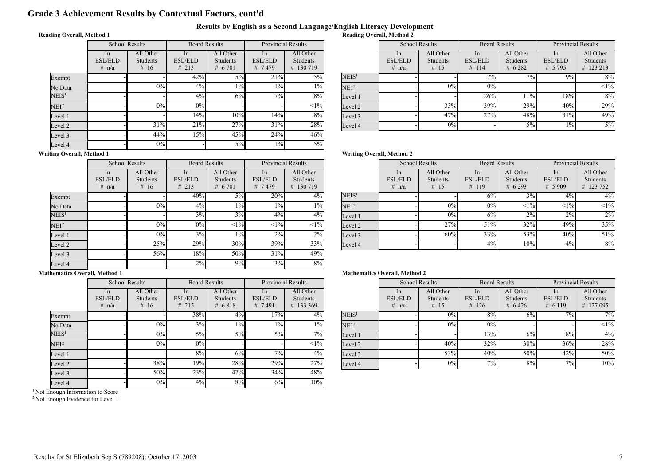### Grade 3 Achievement Results by Contextual Factors, cont'd

#### Results by English as a Second Language/English Literacy Development Reading Overall, Method 2

#### Reading Overall, Method 1

|                   | <b>School Results</b>              |                                 | <b>Board Results</b>               |                                    | <b>Provincial Results</b>           |                                      |
|-------------------|------------------------------------|---------------------------------|------------------------------------|------------------------------------|-------------------------------------|--------------------------------------|
|                   | In<br><b>ESL/ELD</b><br>$\# = n/a$ | All Other<br>Students<br>$#=16$ | In<br><b>ESL/ELD</b><br>$\# = 213$ | All Other<br>Students<br>$\#=6701$ | In<br><b>ESL/ELD</b><br>$\# = 7479$ | All Other<br>Students<br>$\#=130719$ |
| Exempt            |                                    |                                 | 42%                                | 5%                                 | 21%                                 | $5\%$                                |
| No Data           |                                    | 0%                              | 4%                                 | $1\%$                              | $1\%$                               | $1\%$                                |
| $\mathrm{NEIS}^1$ |                                    |                                 | $4\%$                              | 6%                                 | 7%                                  | 8%                                   |
| NE1 <sup>2</sup>  |                                    | 0%                              | 0%                                 |                                    |                                     | $<1\%$                               |
| Level 1           |                                    |                                 | 14%                                | 10%                                | 14%                                 | 8%                                   |
| Level 2           |                                    | 31%                             | 21%                                | 27%                                | 31%                                 | 28%                                  |
| Level 3           |                                    | 44%                             | 15%                                | 45%                                | 24%                                 | 46%                                  |
| Level 4           |                                    | $0\%$                           |                                    | $5\%$                              | $1\%$                               | 5%                                   |

| <b>Provincial Results</b> |                                  |                   | <b>School Results</b>     |                           | <b>Board Results</b>      |                      | <b>Provincial Results</b>     |                                  |
|---------------------------|----------------------------------|-------------------|---------------------------|---------------------------|---------------------------|----------------------|-------------------------------|----------------------------------|
| In                        | All Other                        |                   | <sub>1</sub> n            | All Other                 | <sub>In</sub>             | All Other            | <sub>1</sub> n                | All Other                        |
| /ELD<br>7479              | <b>Students</b><br>$\#$ =130 719 |                   | <b>ESL/ELD</b><br>$#=n/a$ | <b>Students</b><br>$#=15$ | <b>ESL/ELD</b><br>$#=114$ | Students<br>$#=6282$ | <b>ESL/ELD</b><br>$\# = 5795$ | <b>Students</b><br>$\#$ =123 213 |
| 21%                       | $5\%$                            | NEIS <sup>1</sup> |                           |                           | $7\%$                     | $7\%$                | 9%                            | 8%                               |
| $1\%$                     | $1\%$                            | NE1 <sup>2</sup>  |                           | 0%                        | 0%                        |                      |                               | <1%                              |
| 7%                        | $8\%$                            | Level 1           |                           |                           | 26%                       | 11%                  | 18%                           | 8%                               |
|                           | <1%                              | Level 2           |                           | 33%                       | 39%                       | 29%                  | 40%                           | 29%                              |
| 14%                       | 8%                               | Level 3           |                           | 47%                       | 27%                       | 48%                  | 31%                           | 49%                              |
| 31%                       | 28%                              | Level 4           |                           | 0%                        |                           | 5%                   | $1\%$                         | $5\%$                            |

#### Writing Overall, Method 1

|                   | <b>School Results</b>            |                                        | <b>Board Results</b>                          |                                    | <b>Provincial Results</b>           |                                               |  |
|-------------------|----------------------------------|----------------------------------------|-----------------------------------------------|------------------------------------|-------------------------------------|-----------------------------------------------|--|
|                   | In.<br><b>ESL/ELD</b><br>$#=n/a$ | All Other<br><b>Students</b><br>$#=16$ | <sub>In</sub><br><b>ESL/ELD</b><br>$\# = 213$ | All Other<br>Students<br>$\#=6701$ | In<br><b>ESL/ELD</b><br>$\# = 7479$ | All Other<br><b>Students</b><br>$\#$ =130 719 |  |
| Exempt            |                                  |                                        | 40%                                           | $5\%$                              | 20%                                 | 4%                                            |  |
| No Data           |                                  | 0%                                     | $4\%$                                         | $1\%$                              | $1\%$                               | $1\%$                                         |  |
| NEIS <sup>1</sup> |                                  |                                        | 3%                                            | 3%                                 | $4\%$                               | $4\%$                                         |  |
| NE1 <sup>2</sup>  |                                  | 0%                                     | 0%                                            | <1%                                | <1%                                 | $<1\%$                                        |  |
| Level 1           |                                  | 0%                                     | 3%                                            | $1\%$                              | 2%                                  | 2%                                            |  |
| Level 2           |                                  | 25%                                    | 29%                                           | 30%                                | 39%                                 | 33%                                           |  |
| Level 3           |                                  | 56%                                    | 18%                                           | 50%                                | 31%                                 | 49%                                           |  |
| Level 4           |                                  |                                        | 2%                                            | 9%                                 | 3%                                  | 8%                                            |  |

# Writing Overall, Method 2

| Provincial Results  |                                               |                   |                                  | <b>School Results</b>                  | <b>Board Results</b>             |                                             | <b>Provincial Results</b>                    |                                               |
|---------------------|-----------------------------------------------|-------------------|----------------------------------|----------------------------------------|----------------------------------|---------------------------------------------|----------------------------------------------|-----------------------------------------------|
| In.<br>/ELD<br>7479 | All Other<br><b>Students</b><br>$\#=130\,719$ |                   | -In<br><b>ESL/ELD</b><br>$#=n/a$ | All Other<br><b>Students</b><br>$#=15$ | In.<br><b>ESL/ELD</b><br>$#=119$ | All Other<br><b>Students</b><br>$\#$ =6.293 | <sub>In</sub><br><b>ESL/ELD</b><br>$\#=5909$ | All Other<br><b>Students</b><br>$\#$ =123 752 |
| 20%                 | $4\%$                                         | NEIS <sup>1</sup> |                                  |                                        | 6%                               | 3%                                          | 4%                                           | $4\%$                                         |
| $1\%$               | $1\%$                                         | NE1 <sup>2</sup>  |                                  | 0%                                     | 0%                               | <1%                                         | <1%                                          | <1%                                           |
| $4\%$               | $4\%$                                         | Level 1           |                                  | 0%                                     | 6%                               | 2%                                          | 2%                                           | 2%                                            |
| <1%                 | <1%                                           | Level 2           |                                  | 27%                                    | 51%                              | 32%                                         | 49%                                          | 35%                                           |
| 2%                  | 2%                                            | Level 3           |                                  | 60%                                    | 33%                              | 53%                                         | 40%                                          | 51%                                           |
| 39%                 | 33%                                           | Level 4           |                                  |                                        | 4%                               | 10%                                         | 4%                                           | 8%                                            |

#### Mathematics Overall, Method 1

|                   | <b>School Results</b>                          |                                 | <b>Board Results</b>               |                                     | <b>Provincial Results</b>         |                                        |  |
|-------------------|------------------------------------------------|---------------------------------|------------------------------------|-------------------------------------|-----------------------------------|----------------------------------------|--|
|                   | <sub>1</sub> n<br><b>ESL/ELD</b><br>$\# = n/a$ | All Other<br>Students<br>$#=16$ | In<br><b>ESL/ELD</b><br>$\# = 215$ | All Other<br>Students<br>$\#$ =6818 | In<br><b>ESL/ELD</b><br>$\#=7491$ | All Other<br>Students<br>$\#$ =133 369 |  |
| Exempt            |                                                |                                 | 38%                                | 4%                                  | 17%                               | $4\%$                                  |  |
| No Data           |                                                | $0\%$                           | 3%                                 | $1\%$                               | $1\%$                             | $1\%$                                  |  |
| $\mathrm{NEIS}^1$ |                                                | 0%                              | 5%                                 | $5\%$                               | 5%                                | $7\%$                                  |  |
| NE1 <sup>2</sup>  |                                                | 0%                              | 0%                                 |                                     |                                   | <1%                                    |  |
| Level 1           |                                                |                                 | 8%                                 | 6%                                  | 7%                                | $4\%$                                  |  |
| Level 2           |                                                | 38%                             | 19%                                | 28%                                 | 29%                               | 27%                                    |  |
| Level 3           |                                                | 50%                             | 23%                                | 47%                                 | 34%                               | 48%                                    |  |
| Level 4           |                                                | 0%                              | 4%                                 | 8%                                  | 6%                                | 10%                                    |  |

<sup>1</sup> Not Enough Information to Score

<sup>2</sup> Not Enough Evidence for Level 1

| <b>Provincial Results</b> |                                               |                   | <b>School Results</b>                       |                                 | <b>Board Results</b>               |                                     | <b>Provincial Results</b>                      |                                        |
|---------------------------|-----------------------------------------------|-------------------|---------------------------------------------|---------------------------------|------------------------------------|-------------------------------------|------------------------------------------------|----------------------------------------|
| In<br>/ELD<br>7491        | All Other<br><b>Students</b><br>$\#$ =133 369 |                   | <sub>1</sub> n<br><b>ESL/ELD</b><br>$#=n/a$ | All Other<br>Students<br>$#=15$ | In<br><b>ESL/ELD</b><br>$\# = 126$ | All Other<br>Students<br>$\#$ =6426 | <sub>1</sub> n<br><b>ESL/ELD</b><br>$\#=6$ 119 | All Other<br>Students<br>$\#$ =127 095 |
| 17%                       | 4%                                            | NEIS <sup>1</sup> |                                             | 0%                              | 8%                                 | 6%                                  | $7\overline{\gamma}_{0}$                       | 7%                                     |
| $1\%$                     | $1\%$                                         | NE1 <sup>2</sup>  |                                             | 0%                              | 0%                                 |                                     |                                                | $<1\%$                                 |
| 5%                        | $7\%$                                         | Level 1           |                                             |                                 | 13%                                | 6%                                  | 8%                                             | 4%                                     |
|                           | $<1\%$                                        | Level 2           |                                             | 40%                             | 32%                                | 30%                                 | 36%                                            | 28%                                    |
| 7%                        | $4\%$                                         | Level 3           |                                             | 53%                             | 40%                                | 50%                                 | 42%                                            | 50%                                    |
| 29%                       | 27%                                           | Level 4           |                                             | 0%                              | $7\%$                              | 8%                                  | 7%                                             | 10%                                    |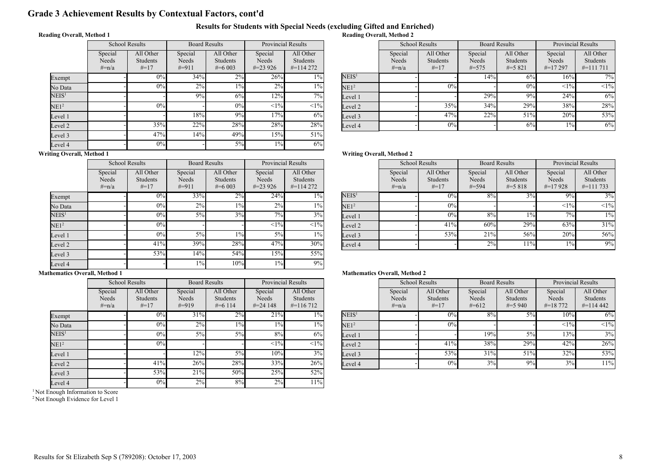### Grade 3 Achievement Results by Contextual Factors, cont'd

#### Results for Students with Special Needs (excluding Gifted and Enriched) Reading Overall, Method 2

#### Reading Overall, Method 1

|                   | <b>School Results</b>          |                                 | <b>Board Results</b>         |                                           | <b>Provincial Results</b>      |                                               |  |
|-------------------|--------------------------------|---------------------------------|------------------------------|-------------------------------------------|--------------------------------|-----------------------------------------------|--|
|                   | Special<br>Needs<br>$\# = n/a$ | All Other<br>Students<br>$#=17$ | Special<br>Needs<br>$\#=911$ | All Other<br><b>Students</b><br>$\#=6003$ | Special<br>Needs<br>$\#=23926$ | All Other<br><b>Students</b><br>$\#$ =114 272 |  |
| Exempt            |                                | 0%                              | 34%                          | $2\%$                                     | 26%                            | $1\%$                                         |  |
| No Data           |                                | 0%                              | 2%                           | $1\%$                                     | 2%                             | $1\%$                                         |  |
| $\mathrm{NEIS}^1$ |                                |                                 | 9%                           | 6%                                        | 12%                            | $7\%$                                         |  |
| NE1 <sup>2</sup>  |                                | 0%                              |                              | 0%                                        | $<1\%$                         | $<1\%$                                        |  |
| Level 1           |                                |                                 | 18%                          | 9%                                        | 17%                            | 6%                                            |  |
| Level 2           |                                | 35%                             | 22%                          | 28%                                       | 28%                            | 28%                                           |  |
| Level 3           |                                | 47%                             | 14%                          | 49%                                       | 15%                            | 51%                                           |  |
| Level 4           |                                | 0%                              |                              | 5%                                        | $1\%$                          | 6%                                            |  |

| <b>Provincial Results</b> |                                               |                   |                             | <b>School Results</b>                  | <b>Board Results</b>           |                                      | <b>Provincial Results</b>      |                                      |
|---------------------------|-----------------------------------------------|-------------------|-----------------------------|----------------------------------------|--------------------------------|--------------------------------------|--------------------------------|--------------------------------------|
| ecial<br>eeds<br>3926     | All Other<br><b>Students</b><br>$\#$ =114 272 |                   | Special<br>Needs<br>$#=n/a$ | All Other<br><b>Students</b><br>$#=17$ | Special<br>Needs<br>$\# = 575$ | All Other<br>Students<br>$\# = 5821$ | Special<br>Needs<br>$\#=17297$ | All Other<br>Students<br>$\#=111711$ |
| 26%                       | $\sqrt{10/6}$                                 | NEIS <sup>1</sup> |                             |                                        | 14%                            | 6%                                   | 16%                            | 7%                                   |
| 2%                        | $1\%$                                         | NE1 <sup>2</sup>  |                             | 0%                                     |                                | 0%                                   | <1%                            | <1%                                  |
| 12%                       | $7\%$ <sub>1</sub>                            | Level 1           |                             |                                        | 29%                            | 9%                                   | 24%                            | 6%                                   |
| <1%                       | $<1\%$                                        | Level 2           |                             | 35%                                    | 34%                            | 29%                                  | 38%                            | 28%                                  |
| 17%                       | 6%                                            | Level 3           |                             | 47%                                    | 22%                            | 51%                                  | 20%                            | 53%                                  |
| 28%                       | 28%                                           | Level 4           |                             | 0%                                     |                                | 6%                                   | $1\%$                          | 6%                                   |

#### Writing Overall, Method 1

|                   | <b>School Results</b>          |                                 | <b>Board Results</b>        |                                           | <b>Provincial Results</b>      |                                      |
|-------------------|--------------------------------|---------------------------------|-----------------------------|-------------------------------------------|--------------------------------|--------------------------------------|
|                   | Special<br>Needs<br>$\# = n/a$ | All Other<br>Students<br>$#=17$ | Special<br>Needs<br>$#=911$ | All Other<br><b>Students</b><br>$\#=6003$ | Special<br>Needs<br>$\#=23926$ | All Other<br>Students<br>$\#=114272$ |
| Exempt            |                                | 0%                              | 33%                         | 2%                                        | 24%                            | $1\%$                                |
| No Data           |                                | 0%                              | 2%                          | $1\%$                                     | 2%                             | $1\%$                                |
| NEIS <sup>1</sup> |                                | 0%                              | $5\%$                       | 3%                                        | 7%                             | 3%                                   |
| NE1 <sup>2</sup>  |                                | 0%                              |                             |                                           | <1%                            | <1%                                  |
| Level 1           |                                | 0%                              | $5\%$                       | $1\%$                                     | $5\%$                          | $1\%$                                |
| Level 2           |                                | 41%                             | 39%                         | 28%                                       | 47%                            | 30%                                  |
| Level 3           |                                | 53%                             | 14%                         | 54%                                       | 15%                            | 55%                                  |
| Level 4           |                                |                                 | $1\%$                       | 10%                                       | $1\%$                          | 9%                                   |

### School Results

Writing Overall, Method 2

|                   | Special<br>Needs<br>$#=n/a$ | All Other<br>Students<br>$#=17$ | Special<br>Needs<br>$#=594$ | All Other<br>Students<br>$\# = 5818$ | Special<br>Needs<br>$\#=17928$ | All Other<br><b>Students</b><br>$\#$ =111 733 |
|-------------------|-----------------------------|---------------------------------|-----------------------------|--------------------------------------|--------------------------------|-----------------------------------------------|
| NEIS <sup>1</sup> |                             | 0%                              | 8%                          | $3\%$                                | $9\%$                          | 3%                                            |
| NE1 <sup>2</sup>  |                             | 0%                              |                             |                                      | <1%                            | $<1\%$                                        |
| Level 1           |                             | 0%                              | 8%                          | $1\%$                                | 7%                             | $1\%$                                         |
| Level 2           |                             | 41%                             | 60%                         | 29%                                  | 63%                            | 31%                                           |
| Level 3           |                             | 53%                             | 21%                         | 56%                                  | 20%                            | 56%                                           |
| Level 4           |                             |                                 | 2%                          | 11%                                  | $1\%$                          | 9%                                            |

Board Results

Provincial Results

#### Mathematics Overall, Method 1

|                   |                                | <b>School Results</b>                  | <b>Board Results</b>        |                                     | <b>Provincial Results</b>       |                                        |
|-------------------|--------------------------------|----------------------------------------|-----------------------------|-------------------------------------|---------------------------------|----------------------------------------|
|                   | Special<br>Needs<br>$\# = n/a$ | All Other<br><b>Students</b><br>$#=17$ | Special<br>Needs<br>$#=919$ | All Other<br>Students<br>$\#=6$ 114 | Special<br>Needs<br>$\#=24$ 148 | All Other<br>Students<br>$\#$ =116 712 |
| Exempt            |                                | 0%                                     | 31%                         | 2%                                  | 21%                             | $1\%$                                  |
| No Data           |                                | 0%                                     | 2%                          | 1%                                  | $1\%$                           | $1\%$                                  |
| NEIS <sup>1</sup> |                                | 0%                                     | $5\%$                       | $5\%$                               | 8%                              | 6%                                     |
| NE1 <sup>2</sup>  |                                | 0%                                     |                             |                                     | <1%                             | $<1\%$                                 |
| Level 1           |                                |                                        | 12%                         | $5\%$                               | 10%                             | 3%                                     |
| Level 2           |                                | 41%                                    | 26%                         | 28%                                 | 33%                             | 26%                                    |
| Level 3           |                                | 53%                                    | 21%                         | 50%                                 | 25%                             | 52%                                    |
| Level 4           |                                | 0%                                     | 2%                          | 8%                                  | 2%                              | 11%                                    |

<sup>1</sup> Not Enough Information to Score

<sup>2</sup> Not Enough Evidence for Level 1

| Provincial Results      |                                               |                   | <b>School Results</b>       |                                        | <b>Board Results</b>        |                                    | <b>Provincial Results</b>          |                                               |
|-------------------------|-----------------------------------------------|-------------------|-----------------------------|----------------------------------------|-----------------------------|------------------------------------|------------------------------------|-----------------------------------------------|
| ecial<br>eeds<br>:4 148 | All Other<br><b>Students</b><br>$\#$ =116 712 |                   | Special<br>Needs<br>$#=n/a$ | All Other<br><b>Students</b><br>$#=17$ | Special<br>Needs<br>$#=612$ | All Other<br>Students<br>$\#=5940$ | Special<br>Needs<br>$\# = 18\,772$ | All Other<br><b>Students</b><br>$\#$ =114 442 |
| 21%                     | 1%                                            | NEIS <sup>1</sup> |                             | 0%                                     | 8%                          | 5%                                 | 10%                                | 6%                                            |
| $1\%$                   | $1\%$                                         | NE1 <sup>2</sup>  |                             | 0%                                     |                             |                                    | <1%                                | $<1\%$                                        |
| 8%                      | 6%                                            | Level 1           |                             |                                        | 19%                         | 5%                                 | 13%                                | 3%                                            |
| <1%                     | $<1\%$                                        | Level 2           |                             | 41%                                    | 38%                         | 29%                                | 42%                                | 26%                                           |
| 10%                     | 3%                                            | Level 3           |                             | 53%                                    | 31%                         | 51%                                | 32%                                | 53%                                           |
| 33%                     | 26%                                           | Level 4           |                             | 0%                                     | 3%                          | 9%                                 | 3%                                 | 11%                                           |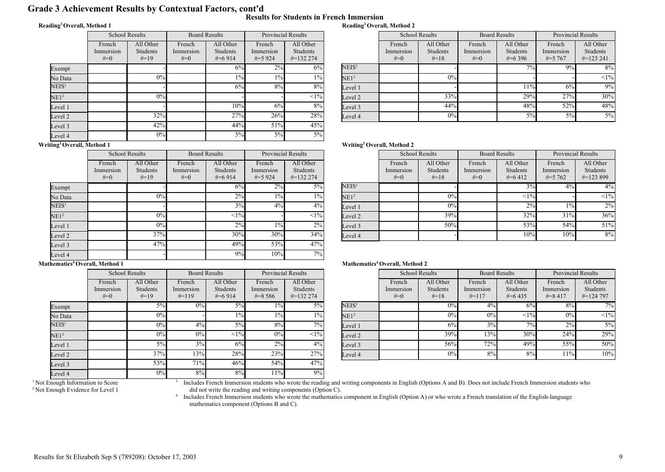## Grade 3 Achievement Results by Contextual Factors, cont'd

#### Reading<sup>3</sup>Overall, Method 1

|  |  | Results for Students in French Immersion |
|--|--|------------------------------------------|
|  |  | Reading <sup>3</sup> Overall, Method 2   |

|                          | <b>School Results</b>        |                                        | <b>Board Results</b>           |                                           | <b>Provincial Results</b>          |                                               |  |
|--------------------------|------------------------------|----------------------------------------|--------------------------------|-------------------------------------------|------------------------------------|-----------------------------------------------|--|
|                          | French<br>Immersion<br>$#=0$ | All Other<br><b>Students</b><br>$#=19$ | French<br>Immersion<br>$# = 0$ | All Other<br><b>Students</b><br>$\#=6914$ | French<br>Immersion<br>$\# = 5924$ | All Other<br><b>Students</b><br>$\#$ =132 274 |  |
| Exempt                   |                              |                                        |                                | 6%                                        | $2\%$                              | 6%                                            |  |
| No Data                  |                              | 0%                                     |                                | $1\%$                                     | $1\%$                              | $1\%$                                         |  |
| NEIS <sup>1</sup>        |                              |                                        |                                | 6%                                        | 8%                                 | 8%                                            |  |
| NE1 <sup>2</sup>         |                              | 0%                                     |                                |                                           |                                    | $<1\%$                                        |  |
| Level 1                  |                              |                                        |                                | 10%                                       | 6%                                 | 8%                                            |  |
| Level 2                  |                              | 32%                                    |                                | 27%                                       | 26%                                | 28%                                           |  |
| Level 3                  |                              | 42%                                    |                                | 44%                                       | 51%                                | 45%                                           |  |
| Level 4<br>$\sim$ $\sim$ |                              | 0%                                     |                                | $5\%$                                     | 5%                                 | $5\%$                                         |  |

|                | Provincial Results    |                   | <b>School Results</b> |                              | <b>Board Results</b> |                              | <b>Provincial Results</b> |                              |
|----------------|-----------------------|-------------------|-----------------------|------------------------------|----------------------|------------------------------|---------------------------|------------------------------|
| ench<br>ersion | All Other<br>Students |                   | French<br>Immersion   | All Other<br><b>Students</b> | French<br>Immersion  | All Other<br><b>Students</b> | French<br>Immersion       | All Other<br><b>Students</b> |
| 5 924          | $\#$ =132 274         |                   | $#=0$                 | $#=18$                       | $#=0$                | $\#$ =6 396                  | $\# = 5,767$              | $\#$ =123 241                |
| $2\%$          | 6%                    | NEIS <sup>1</sup> |                       |                              |                      | $7\%$                        | $9\%$                     | 8%                           |
| $1\%$          | $1\%$                 | NE1 <sup>2</sup>  |                       | 0%                           |                      |                              |                           | $<1\%$                       |
| 8%             | $8\%$                 | Level 1           |                       |                              |                      | 11%                          | 6%                        | 9%                           |
|                | $<1\%$                | Level 2           |                       | 33%                          |                      | 29%                          | 27%                       | 30%                          |
| 6%             | $8\%$                 | Level 3           |                       | 44%                          |                      | 48%                          | 52%                       | 48%                          |
| 26%            | 28%                   | Level 4           |                       | 0%                           |                      | 5%                           | 5%                        | $5\%$                        |

#### Writing<sup>3</sup>Overall, Method 1

 $\mathsf{F}$ 

 $\overline{\mathrm{E}}$ 

|                   | <b>School Results</b>        |                                 | <b>Board Results</b>           |                                           | <b>Provincial Results</b>        |                                              |  |
|-------------------|------------------------------|---------------------------------|--------------------------------|-------------------------------------------|----------------------------------|----------------------------------------------|--|
|                   | French<br>Immersion<br>$#=0$ | All Other<br>Students<br>$#=19$ | French<br>Immersion<br>$# = 0$ | All Other<br><b>Students</b><br>$\#=6914$ | French<br>Immersion<br>$\#=5924$ | All Other<br><b>Students</b><br>$\#=1322274$ |  |
| Exempt            |                              |                                 |                                | 6%                                        | 2%                               | $5\%$                                        |  |
| No Data           |                              | 0%                              |                                | 2%                                        | $1\%$                            | $1\%$                                        |  |
| NEIS <sup>1</sup> |                              |                                 |                                | 3%                                        | $4\%$                            | $4\%$                                        |  |
| NE1 <sup>2</sup>  |                              | 0%                              |                                | <1%                                       |                                  | $<1\%$                                       |  |
| Level 1           |                              | 0%                              |                                | 2%                                        | $1\%$                            | 2%                                           |  |
| Level 2           |                              | 37%                             |                                | 30%                                       | 30%                              | 34%                                          |  |
| Level 3           |                              | 47%                             |                                | 49%                                       | 53%                              | 47%                                          |  |
| Level 4           |                              |                                 |                                | 9%                                        | 10%                              | 7%                                           |  |

#### Mathematics<sup>4</sup> Overall, Method 1

|                   | <b>School Results</b>        |                                 | <b>Board Results</b>           |                                    | <b>Provincial Results</b>          |                                               |  |
|-------------------|------------------------------|---------------------------------|--------------------------------|------------------------------------|------------------------------------|-----------------------------------------------|--|
|                   | French<br>Immersion<br>$#=0$ | All Other<br>Students<br>$#=19$ | French<br>Immersion<br>$#=119$ | All Other<br>Students<br>$\#=6914$ | French<br>Immersion<br>$\# = 8586$ | All Other<br><b>Students</b><br>$\#$ =132 274 |  |
| Exempt            |                              | $5\%$                           | 0%                             | 5%                                 | $1\%$                              | 5%                                            |  |
| No Data           |                              | 0%                              |                                | $1\%$                              | $1\%$                              | 1%                                            |  |
| $\mathrm{NEIS}^1$ |                              | 0%                              | 4%                             | 5%                                 | 8%                                 | 7%                                            |  |
| NE1 <sup>2</sup>  |                              | 0%                              | 0%                             | <1%                                | 0%                                 | $<1\%$                                        |  |
| Level 1           |                              | 5%                              | 3%                             | 6%                                 | 2%                                 | 4%                                            |  |
| Level 2           |                              | 37%                             | 13%                            | 28%                                | 23%                                | 27%                                           |  |
| Level 3           |                              | 53%                             | 71%                            | 46%                                | 54%                                | 47%                                           |  |
| Level 4           |                              | $0\%$                           | 8%                             | 8%                                 | 11%                                | 9%                                            |  |

3

#### Writing<sup>3</sup>Overall, Method 2

| <b>Provincial Results</b> |                                        | <b>School Results</b> |                              | <b>Board Results</b>                   |                              | <b>Provincial Results</b>            |                                     |                                               |
|---------------------------|----------------------------------------|-----------------------|------------------------------|----------------------------------------|------------------------------|--------------------------------------|-------------------------------------|-----------------------------------------------|
| ench<br>ersion<br>5924    | All Other<br>Students<br>$\#$ =132 274 |                       | French<br>Immersion<br>$#=0$ | All Other<br><b>Students</b><br>$#=18$ | French<br>Immersion<br>$#=0$ | All Other<br>Students<br>$\# = 6412$ | French<br>Immersion<br>$\# = 5,762$ | All Other<br><b>Students</b><br>$\#$ =123 899 |
| 2%                        | $5\%$                                  | NEIS <sup>1</sup>     |                              |                                        |                              | 3%                                   | 4%                                  | 4%                                            |
| $1\%$                     | 1%                                     | NE1 <sup>2</sup>      |                              | 0%                                     |                              | <1%                                  |                                     | $<1\%$                                        |
| $4\%$                     | $4\%$                                  | Level 1               |                              | 0%                                     |                              | 2%                                   | $1\%$                               | 2%                                            |
|                           | $<1\%$                                 | Level 2               |                              | 39%                                    |                              | 32%                                  | 31%                                 | 36%                                           |
| $1\%$                     | 2%                                     | Level 3               |                              | 50%                                    |                              | 53%                                  | 54%                                 | 51%                                           |
| 30%                       | 34%                                    | Level 4               |                              |                                        |                              | 10%                                  | 10%                                 | 8%                                            |
| $\sim$ 0.4                | $4-0$                                  |                       |                              |                                        |                              |                                      |                                     |                                               |

#### Mathematics<sup>4</sup> Overall, Method 2

| <b>Provincial Results</b> |                                               |                   | <b>School Results</b>        |                                        | <b>Board Results</b>           |                                      | <b>Provincial Results</b>          |                                        |
|---------------------------|-----------------------------------------------|-------------------|------------------------------|----------------------------------------|--------------------------------|--------------------------------------|------------------------------------|----------------------------------------|
| ench<br>ersion<br>8586    | All Other<br><b>Students</b><br>$\#$ =132 274 |                   | French<br>Immersion<br>$#=0$ | All Other<br><b>Students</b><br>$#=18$ | French<br>Immersion<br>$#=117$ | All Other<br>Students<br>$\#$ =6.435 | French<br>Immersion<br>$\# = 8417$ | All Other<br>Students<br>$\#$ =124 797 |
| $1\%$                     | 5%                                            | NEIS <sup>1</sup> |                              | 0%                                     | 4%                             | 6%                                   | 8%                                 | $7\overline{\%}$                       |
| $1\%$                     | $1\%$                                         | NE1 <sup>2</sup>  |                              | 0%                                     | 0%                             | <1%                                  | 0%                                 | $<1\%$                                 |
| 8%                        | $7\%$ <sub>1</sub>                            | Level 1           |                              | 6%                                     | 3%                             | 7%                                   | 2%                                 | $5\%$                                  |
| 0%                        | $<$ 1% $ $                                    | Level 2           |                              | 39%                                    | 13%                            | 30%                                  | 24%                                | 29%                                    |
| 2%                        | $4\%$                                         | Level 3           |                              | 56%                                    | 72%                            | 49%                                  | 55%                                | 50%                                    |
| 23%                       | 27%                                           | Level 4           |                              | 0%                                     | 8%                             | 8%                                   | 11%                                | 10%                                    |
|                           |                                               |                   |                              |                                        |                                |                                      |                                    |                                        |

Includes French Immersion students who wrote the reading and writing components in English (Options A and B). Does not include French Immersion students who did not write the reading and writing components (Option C).<br><sup>4</sup> Includes French Immersion students who wrote the mathematics component in English (Option A) or who wrote a French translation of the English-language

mathematics component (Options B and C).

<sup>&</sup>lt;sup>1</sup> Not Enough Information to Score <sup>2</sup> Not Enough Evidence for Level 1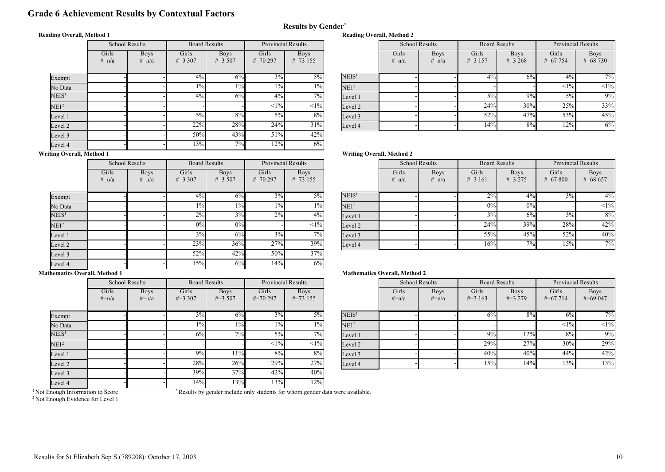### Grade 6 Achievement Results by Contextual Factors

#### Reading Overall, Method 1

|                   | <b>School Results</b> |                           | <b>Board Results</b> |                           | <b>Provincial Results</b> |                            |  |
|-------------------|-----------------------|---------------------------|----------------------|---------------------------|---------------------------|----------------------------|--|
|                   | Girls<br>$\# = n/a$   | <b>Boys</b><br>$\# = n/a$ | Girls<br>$\#=3,307$  | <b>Boys</b><br>$\#=3,507$ | Girls<br>$\#=70297$       | <b>Boys</b><br>$\#=73$ 155 |  |
| Exempt            |                       |                           | $4\%$                | 6%                        | 3%                        | $5\%$                      |  |
| No Data           |                       |                           | $1\%$                | $1\%$                     | $1\%$                     | $1\%$                      |  |
| NEIS <sup>1</sup> |                       |                           | 4%                   | 6%                        | 4%                        | 7%                         |  |
| NE1 <sup>2</sup>  |                       |                           |                      |                           | <1%                       | $<1\%$                     |  |
| Level 1           |                       |                           | $5\%$                | 8%                        | 5%                        | 8%                         |  |
| Level 2           |                       |                           | 22%                  | 28%                       | 24%                       | 31%                        |  |
| Level 3           |                       |                           | 50%                  | 43%                       | 51%                       | 42%                        |  |
| Level 4           |                       |                           | 13%                  | 7%                        | 12%                       | 6%                         |  |

| <b>Provincial Results</b> |                            |                   | <b>School Results</b> |                           | <b>Board Results</b> |                           | <b>Provincial Results</b> |                             |
|---------------------------|----------------------------|-------------------|-----------------------|---------------------------|----------------------|---------------------------|---------------------------|-----------------------------|
| iirls<br>0297             | <b>Boys</b><br>$\#=73$ 155 |                   | Girls<br>$#=n/a$      | <b>Boys</b><br>$\# = n/a$ | Girls<br>$\#=3$ 157  | <b>Boys</b><br>$\#=3,268$ | Girls<br>$\# = 67$ 754    | <b>Boys</b><br>$\# = 68730$ |
| 3%                        | $5\%$                      | NEIS <sup>1</sup> |                       |                           | $4\%$                | 6%                        | 4%                        | 7%                          |
| $1\%$                     | $1\%$                      | NE1 <sup>2</sup>  |                       |                           |                      |                           | <1%                       | <1%                         |
| $4\%$                     | $7\%$                      | Level 1           |                       |                           | 5%                   | 9%                        | $5\%$                     | 9%                          |
| $\leq$ 1%                 | $<1\%$                     | Level 2           |                       |                           | 24%                  | 30%                       | 25%                       | 33%                         |
| $5\%$                     | 8%                         | Level 3           |                       |                           | 52%                  | 47%                       | 53%                       | 45%                         |
| 24%                       | 31%                        | Level 4           |                       |                           | 14%                  | 8%                        | 12%                       | 6%                          |

#### Writing Overall, Method 1

|                   | <b>School Results</b> |                           | <b>Board Results</b> |                           | <b>Provincial Results</b> |                            |
|-------------------|-----------------------|---------------------------|----------------------|---------------------------|---------------------------|----------------------------|
|                   | Girls<br>$#=n/a$      | <b>Boys</b><br>$\# = n/a$ | Girls<br>$\#=3,307$  | <b>Boys</b><br>$\#=3,507$ | Girls<br>$\#=70297$       | <b>Boys</b><br>$\#=73$ 155 |
| Exempt            |                       |                           | 4%                   | 6%                        | 3%                        | $5\%$                      |
| No Data           |                       |                           | $1\%$                | $1\%$                     | $1\%$                     | $1\%$                      |
| NEIS <sup>1</sup> |                       |                           | 2%                   | 3%                        | 2%                        | $4\%$                      |
| NE1 <sup>2</sup>  |                       |                           | 0%                   | 0%                        |                           | $<1\%$                     |
| Level 1           |                       |                           | 3%                   | 6%                        | 3%                        | 7%                         |
| Level 2           |                       |                           | 23%                  | 36%                       | 27%                       | 39%                        |
| Level 3           |                       |                           | 52%                  | 42%                       | 50%                       | 37%                        |
| Level 4           |                       |                           | 15%                  | 6%                        | 14%                       | 6%                         |

# Writing Overall, Method 2

Reading Overall, Method 2

Results by Gender\*

| <b>Provincial Results</b> |                            |                   | <b>School Results</b> |                           | <b>Board Results</b> |                          | <b>Provincial Results</b> |                           |
|---------------------------|----------------------------|-------------------|-----------------------|---------------------------|----------------------|--------------------------|---------------------------|---------------------------|
| iirls<br>0297             | <b>Boys</b><br>$\#=73$ 155 |                   | Girls<br>$#=n/a$      | <b>Boys</b><br>$\# = n/a$ | Girls<br>$\#=3$ 161  | <b>Boys</b><br>$\#=3275$ | Girls<br>$\#=67800$       | <b>Boys</b><br>$\#=68657$ |
| 3%                        | $5\%$                      | NEIS <sup>1</sup> |                       |                           | 2%                   | 4%                       | $3\%$                     | $4\%$                     |
| $1\%$                     | $1\%$                      | NE1 <sup>2</sup>  |                       |                           | 0%                   | 0%                       |                           | $<1\%$                    |
| $2\%$                     | 4%                         | Level 1           |                       |                           | 3%                   | 6%                       | 3%                        | 8%                        |
|                           | <1%                        | Level 2           |                       |                           | 24%                  | 39%                      | 28%                       | 42%                       |
| 3%                        | 7%                         | Level 3           |                       |                           | 55%                  | 45%                      | 52%                       | 40%                       |
| 27%                       | 39%                        | Level 4           |                       |                           | 16%                  | 7%                       | 15%                       | 7%                        |

#### Mathematics Overall, Method 1

|                   | <b>School Results</b> |                           | <b>Board Results</b> |                           | <b>Provincial Results</b> |                            |
|-------------------|-----------------------|---------------------------|----------------------|---------------------------|---------------------------|----------------------------|
|                   | Girls<br>$#=n/a$      | <b>Boys</b><br>$\# = n/a$ | Girls<br>$\#=3,307$  | <b>Boys</b><br>$\#=3,507$ | Girls<br>$\#=70297$       | <b>Boys</b><br>$\#=73$ 155 |
| Exempt            |                       |                           | 3%                   | 6%                        | 3%                        | $5\%$                      |
| No Data           |                       |                           | $1\%$                | $1\%$                     | $1\%$                     | $1\%$                      |
| $\mathrm{NEIS}^1$ |                       |                           | 6%                   | 7%                        | $5\%$                     | 7%                         |
| NE1 <sup>2</sup>  |                       |                           |                      |                           | <1%                       | $<1\%$                     |
| Level 1           |                       |                           | 9%                   | 11%                       | 8%                        | $8\%$                      |
| Level 2           |                       |                           | 28%                  | 26%                       | 29%                       | 27%                        |
| Level 3           |                       |                           | 39%                  | 37%                       | 42%                       | 40%                        |
| Level 4           |                       |                           | 14%                  | 13%                       | 13%                       | 12%                        |

#### Mathematics Overall, Method 2

|               | <b>Provincial Results</b>  |                   | <b>School Results</b> |                        | <b>Board Results</b> |                          | <b>Provincial Results</b> |                           |
|---------------|----------------------------|-------------------|-----------------------|------------------------|----------------------|--------------------------|---------------------------|---------------------------|
| iirls<br>0297 | <b>Boys</b><br>$\#=73$ 155 |                   | Girls<br>$#=n/a$      | <b>Boys</b><br>$#=n/a$ | Girls<br>$\#=3$ 163  | <b>Boys</b><br>$\#=3279$ | Girls<br>$\#=67714$       | <b>Boys</b><br>$\#=69047$ |
| 3%            | 5%                         | NEIS <sup>1</sup> |                       |                        | 6%                   | 8%                       | 6%                        | $7\%$                     |
| $1\%$         | $1\%$                      | NE1 <sup>2</sup>  |                       |                        |                      |                          | <1%                       | <1%                       |
| 5%            | 7%1                        | Level 1           |                       |                        | 9%                   | 12%                      | 8%                        | 9%                        |
| <1%           | $<$ 1% $ $                 | Level 2           |                       |                        | 29%                  | 27%                      | 30%                       | 29%                       |
| 8%            | 8%                         | Level 3           |                       |                        | 40%                  | 40%                      | 44%                       | 42%                       |
| 29%           | 27%                        | Level 4           |                       |                        | 15%                  | 14%                      | 13%                       | 13%                       |

<sup>1</sup> Not Enough Information to Score

\* Results by gender include only students for whom gender data were available.

<sup>2</sup> Not Enough Evidence for Level 1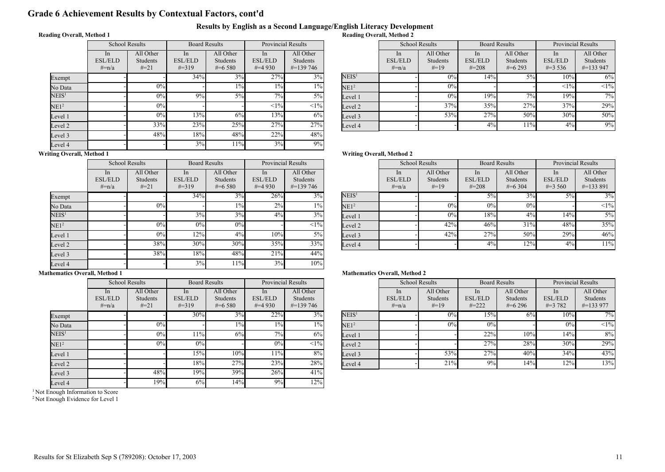### Grade 6 Achievement Results by Contextual Factors, cont'd

#### Results by English as a Second Language/English Literacy Development Reading Overall, Method 2

#### Reading Overall, Method 1

|                   | <b>School Results</b>              |                                 | <b>Board Results</b>               |                                           | <b>Provincial Results</b>         |                                        |  |
|-------------------|------------------------------------|---------------------------------|------------------------------------|-------------------------------------------|-----------------------------------|----------------------------------------|--|
|                   | In<br><b>ESL/ELD</b><br>$\# = n/a$ | All Other<br>Students<br>$#=21$ | In<br><b>ESL/ELD</b><br>$\# = 319$ | All Other<br><b>Students</b><br>$\#=6580$ | In<br><b>ESL/ELD</b><br>$\#=4930$ | All Other<br>Students<br>$\#$ =139 746 |  |
| Exempt            |                                    |                                 | 34%                                | 3%                                        | 27%                               | 3%                                     |  |
| No Data           |                                    | 0%                              |                                    | $1\%$                                     | $1\%$                             | $1\%$                                  |  |
| $\mathrm{NEIS}^1$ |                                    | 0%                              | 9%                                 | $5\%$                                     | 7%                                | $5\%$                                  |  |
| NE1 <sup>2</sup>  |                                    | 0%                              |                                    |                                           | <1%                               | $<1\%$                                 |  |
| Level 1           |                                    | 0%                              | 13%                                | 6%                                        | 13%                               | 6%                                     |  |
| Level 2           |                                    | 33%                             | 23%                                | 25%                                       | 27%                               | 27%                                    |  |
| Level 3           |                                    | 48%                             | 18%                                | 48%                                       | 22%                               | 48%                                    |  |
| Level 4           |                                    |                                 | 3%                                 | 11%                                       | 3%                                | 9%                                     |  |

| <b>Provincial Results</b> |                                               |                   | <b>School Results</b>                      |                                        | <b>Board Results</b>               |                                    | <b>Provincial Results</b>                     |                                        |
|---------------------------|-----------------------------------------------|-------------------|--------------------------------------------|----------------------------------------|------------------------------------|------------------------------------|-----------------------------------------------|----------------------------------------|
| In<br>/ELD<br>4 930       | All Other<br><b>Students</b><br>$\#$ =139 746 |                   | <sub>In</sub><br><b>ESL/ELD</b><br>$#=n/a$ | All Other<br><b>Students</b><br>$#=19$ | In<br><b>ESL/ELD</b><br>$\# = 208$ | All Other<br>Students<br>$\#=6293$ | <sub>1</sub> n<br><b>ESL/ELD</b><br>$\#=3536$ | All Other<br>Students<br>$\#$ =133 947 |
| 27%                       | 3%                                            | NEIS <sup>1</sup> |                                            | 0%                                     | 14%                                | $5\%$                              | 10%                                           | 6%                                     |
| $1\%$                     | $1\%$                                         | NE1 <sup>2</sup>  |                                            | 0%                                     |                                    |                                    | <1%                                           | $<1\%$                                 |
| 7%                        | $5\%$                                         | Level 1           |                                            | 0%                                     | 19%                                | $7\%$                              | 19%                                           | 7%                                     |
| <1%                       | <1%                                           | Level 2           |                                            | 37%                                    | 35%                                | 27%                                | 37%                                           | 29%                                    |
| 13%                       | 6%                                            | Level 3           |                                            | 53%                                    | 27%                                | 50%                                | 30%                                           | 50%                                    |
| 27%                       | 27%                                           | Level 4           |                                            |                                        | 4%                                 | 11%                                | 4%                                            | 9%                                     |

### Writing Overall, Method 1

 $\mathbf{E}$ 

|                   | <b>School Results</b>           |                                        | <b>Board Results</b>               |                                    | <b>Provincial Results</b>         |                                               |
|-------------------|---------------------------------|----------------------------------------|------------------------------------|------------------------------------|-----------------------------------|-----------------------------------------------|
|                   | In<br><b>ESL/ELD</b><br>$#=n/a$ | All Other<br><b>Students</b><br>$#=21$ | In<br><b>ESL/ELD</b><br>$\# = 319$ | All Other<br>Students<br>$\#=6580$ | In<br><b>ESL/ELD</b><br>$\#=4930$ | All Other<br><b>Students</b><br>$\#$ =139 746 |
| Exempt            |                                 |                                        | 34%                                | 3%                                 | 26%                               | 3%                                            |
| No Data           |                                 | 0%                                     |                                    | $1\%$                              | 2%                                | $1\%$                                         |
| NEIS <sup>1</sup> |                                 |                                        | 3%                                 | 3%                                 | $4\%$                             | 3%                                            |
| NE1 <sup>2</sup>  |                                 | 0%                                     | 0%                                 | 0%                                 |                                   | $<1\%$                                        |
| Level 1           |                                 | 0%                                     | 12%                                | 4%                                 | 10%                               | $5\%$                                         |
| Level 2           |                                 | 38%                                    | 30%                                | 30%                                | 35%                               | 33%                                           |
| Level 3           |                                 | 38%                                    | 18%                                | 48%                                | 21%                               | 44%                                           |
| Level 4           |                                 |                                        | 3%                                 | 11%                                | 3%                                | 10%                                           |

### Mathematics Overall, Method 1

|                   | <b>School Results</b>           |                                 | <b>Board Results</b>               |                                      | <b>Provincial Results</b>         |                                        |
|-------------------|---------------------------------|---------------------------------|------------------------------------|--------------------------------------|-----------------------------------|----------------------------------------|
|                   | In<br><b>ESL/ELD</b><br>$#=n/a$ | All Other<br>Students<br>$#=21$ | In<br><b>ESL/ELD</b><br>$\# = 319$ | All Other<br>Students<br>$\#$ =6.580 | In<br><b>ESL/ELD</b><br>$\#=4930$ | All Other<br>Students<br>$\#$ =139 746 |
| Exempt            |                                 |                                 | 30%                                | 3%                                   | 22%                               | 3%                                     |
| No Data           |                                 | $0\%$                           |                                    | $1\%$                                | $1\%$                             | $1\%$                                  |
| NEIS <sup>1</sup> |                                 | 0%                              | 11%                                | 6%                                   | 7%                                | 6%                                     |
| NE1 <sup>2</sup>  |                                 | 0%                              | 0%                                 |                                      | 0%                                | $<1\%$                                 |
| Level 1           |                                 |                                 | 15%                                | 10%                                  | 11%                               | 8%                                     |
| Level 2           |                                 |                                 | 18%                                | 27%                                  | 23%                               | 28%                                    |
| Level 3           |                                 | 48%                             | 19%                                | 39%                                  | 26%                               | 41%                                    |
| Level 4           |                                 | 19%                             | 6%                                 | 14%                                  | 9%                                | 12%                                    |

<sup>1</sup> Not Enough Information to Score

<sup>2</sup> Not Enough Evidence for Level 1

#### Writing Overall, Method 2

| <b>Provincial Results</b> |                                               |                   |                                            | <b>School Results</b>                  | <b>Board Results</b>                          |                                             | <b>Provincial Results</b>                      |                                               |
|---------------------------|-----------------------------------------------|-------------------|--------------------------------------------|----------------------------------------|-----------------------------------------------|---------------------------------------------|------------------------------------------------|-----------------------------------------------|
| In<br>/ELD<br>4 930       | All Other<br><b>Students</b><br>$\#$ =139 746 |                   | <sub>In</sub><br><b>ESL/ELD</b><br>$#=n/a$ | All Other<br><b>Students</b><br>$#=19$ | <sub>In</sub><br><b>ESL/ELD</b><br>$\# = 208$ | All Other<br><b>Students</b><br>$\#$ =6 304 | <sub>1</sub> n<br><b>ESL/ELD</b><br>$\#=3,560$ | All Other<br><b>Students</b><br>$\#$ =133 891 |
| 26%                       | $3\%$                                         | NEIS <sup>1</sup> |                                            |                                        | $5\%$                                         | 3%                                          | 5%                                             | 3%                                            |
| 2%                        | $1\%$                                         | NE1 <sup>2</sup>  |                                            | 0%                                     | 0%                                            | 0%                                          |                                                | $<1\%$                                        |
| 4%                        | 3%                                            | Level 1           |                                            | 0%                                     | 18%                                           | 4%                                          | 14%                                            | $5\%$                                         |
|                           | $<1\%$                                        | Level 2           |                                            | 42%                                    | 46%                                           | 31%                                         | 48%                                            | 35%                                           |
| 10%                       | $5\%$                                         | Level 3           |                                            | 42%                                    | 27%                                           | 50%                                         | 29%                                            | 46%                                           |
| 35%                       | 33%                                           | Level 4           |                                            |                                        | 4%                                            | 12%                                         | 4%                                             | 11%                                           |

|                     | <b>Provincial Results</b>                     |                   | <b>School Results</b>                       |                                        | <b>Board Results</b>                          |                                      | <b>Provincial Results</b>                       |                                               |
|---------------------|-----------------------------------------------|-------------------|---------------------------------------------|----------------------------------------|-----------------------------------------------|--------------------------------------|-------------------------------------------------|-----------------------------------------------|
| In<br>/ELD<br>4 930 | All Other<br><b>Students</b><br>$\#$ =139 746 |                   | <sub>1</sub> n<br><b>ESL/ELD</b><br>$#=n/a$ | All Other<br><b>Students</b><br>$#=19$ | <sub>In</sub><br><b>ESL/ELD</b><br>$\# = 222$ | All Other<br>Students<br>$\#$ =6.296 | <sub>1</sub> n<br><b>ESL/ELD</b><br>$\# = 3782$ | All Other<br><b>Students</b><br>$\#$ =133 977 |
| 22%                 | $3\overline{\%}$                              | NEIS <sup>1</sup> |                                             | 0%                                     | $15\%$                                        | 6%                                   | 10%                                             | $7\overline{0}_0$                             |
| $1\%$               | $1\%$                                         | NE1 <sup>2</sup>  |                                             | 0%                                     | 0%                                            |                                      | 0%                                              | $<1\%$                                        |
| 7%                  | 6%                                            | Level 1           |                                             |                                        | 22%                                           | 10%                                  | 14%                                             | 8%                                            |
| 0%                  | $<$ 1% $ $                                    | Level 2           |                                             |                                        | 27%                                           | 28%                                  | 30%                                             | 29%                                           |
| 11%                 | 8%                                            | Level 3           |                                             | 53%                                    | 27%                                           | 40%                                  | 34%                                             | 43%                                           |
| 23%                 | 28%                                           | Level 4           |                                             | 21%                                    | 9%                                            | 14%                                  | 12%                                             | 13%                                           |